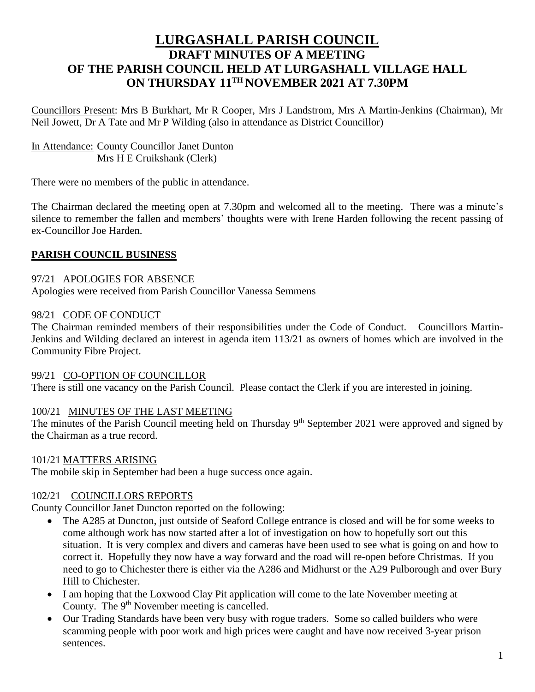# **LURGASHALL PARISH COUNCIL DRAFT MINUTES OF A MEETING OF THE PARISH COUNCIL HELD AT LURGASHALL VILLAGE HALL ON THURSDAY 11TH NOVEMBER 2021 AT 7.30PM**

Councillors Present: Mrs B Burkhart, Mr R Cooper, Mrs J Landstrom, Mrs A Martin-Jenkins (Chairman), Mr Neil Jowett, Dr A Tate and Mr P Wilding (also in attendance as District Councillor)

In Attendance: County Councillor Janet Dunton Mrs H E Cruikshank (Clerk)

There were no members of the public in attendance.

The Chairman declared the meeting open at 7.30pm and welcomed all to the meeting. There was a minute's silence to remember the fallen and members' thoughts were with Irene Harden following the recent passing of ex-Councillor Joe Harden.

## **PARISH COUNCIL BUSINESS**

97/21 APOLOGIES FOR ABSENCE Apologies were received from Parish Councillor Vanessa Semmens

### 98/21 CODE OF CONDUCT

The Chairman reminded members of their responsibilities under the Code of Conduct. Councillors Martin-Jenkins and Wilding declared an interest in agenda item 113/21 as owners of homes which are involved in the Community Fibre Project.

### 99/21 CO-OPTION OF COUNCILLOR

There is still one vacancy on the Parish Council. Please contact the Clerk if you are interested in joining.

## 100/21 MINUTES OF THE LAST MEETING

The minutes of the Parish Council meeting held on Thursday  $9<sup>th</sup>$  September 2021 were approved and signed by the Chairman as a true record.

### 101/21 MATTERS ARISING

The mobile skip in September had been a huge success once again.

### 102/21 COUNCILLORS REPORTS

County Councillor Janet Duncton reported on the following:

- The A285 at Duncton, just outside of Seaford College entrance is closed and will be for some weeks to come although work has now started after a lot of investigation on how to hopefully sort out this situation. It is very complex and divers and cameras have been used to see what is going on and how to correct it. Hopefully they now have a way forward and the road will re-open before Christmas. If you need to go to Chichester there is either via the A286 and Midhurst or the A29 Pulborough and over Bury Hill to Chichester.
- I am hoping that the Loxwood Clay Pit application will come to the late November meeting at County. The 9<sup>th</sup> November meeting is cancelled.
- Our Trading Standards have been very busy with rogue traders. Some so called builders who were scamming people with poor work and high prices were caught and have now received 3-year prison sentences.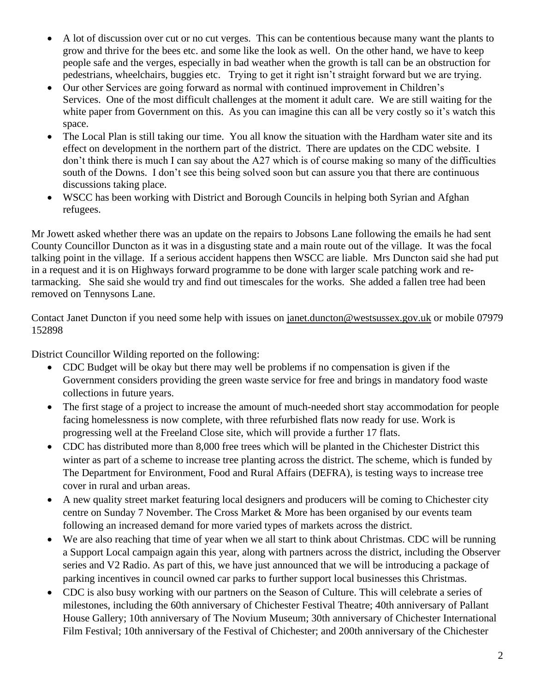- A lot of discussion over cut or no cut verges. This can be contentious because many want the plants to grow and thrive for the bees etc. and some like the look as well. On the other hand, we have to keep people safe and the verges, especially in bad weather when the growth is tall can be an obstruction for pedestrians, wheelchairs, buggies etc. Trying to get it right isn't straight forward but we are trying.
- Our other Services are going forward as normal with continued improvement in Children's Services. One of the most difficult challenges at the moment it adult care. We are still waiting for the white paper from Government on this. As you can imagine this can all be very costly so it's watch this space.
- The Local Plan is still taking our time. You all know the situation with the Hardham water site and its effect on development in the northern part of the district. There are updates on the CDC website. I don't think there is much I can say about the A27 which is of course making so many of the difficulties south of the Downs. I don't see this being solved soon but can assure you that there are continuous discussions taking place.
- WSCC has been working with District and Borough Councils in helping both Syrian and Afghan refugees.

Mr Jowett asked whether there was an update on the repairs to Jobsons Lane following the emails he had sent County Councillor Duncton as it was in a disgusting state and a main route out of the village. It was the focal talking point in the village. If a serious accident happens then WSCC are liable. Mrs Duncton said she had put in a request and it is on Highways forward programme to be done with larger scale patching work and retarmacking. She said she would try and find out timescales for the works. She added a fallen tree had been removed on Tennysons Lane.

Contact Janet Duncton if you need some help with issues on [janet.duncton@westsussex.gov.uk](mailto:janet.duncton@westsussex.gov.uk) or mobile 07979 152898

District Councillor Wilding reported on the following:

- CDC Budget will be okay but there may well be problems if no compensation is given if the Government considers providing the green waste service for free and brings in mandatory food waste collections in future years.
- The first stage of a project to increase the amount of much-needed short stay accommodation for people facing homelessness is now complete, with three refurbished flats now ready for use. Work is progressing well at the Freeland Close site, which will provide a further 17 flats.
- CDC has distributed more than 8,000 free trees which will be planted in the Chichester District this winter as part of a scheme to increase tree planting across the district. The scheme, which is funded by The Department for Environment, Food and Rural Affairs (DEFRA), is testing ways to increase tree cover in rural and urban areas.
- A new quality street market featuring local designers and producers will be coming to Chichester city centre on Sunday 7 November. The Cross Market & More has been organised by our events team following an increased demand for more varied types of markets across the district.
- We are also reaching that time of year when we all start to think about Christmas. CDC will be running a Support Local campaign again this year, along with partners across the district, including the Observer series and V2 Radio. As part of this, we have just announced that we will be introducing a package of parking incentives in council owned car parks to further support local businesses this Christmas.
- CDC is also busy working with our partners on the Season of Culture. This will celebrate a series of milestones, including the 60th anniversary of Chichester Festival Theatre; 40th anniversary of Pallant House Gallery; 10th anniversary of The Novium Museum; 30th anniversary of Chichester International Film Festival; 10th anniversary of the Festival of Chichester; and 200th anniversary of the Chichester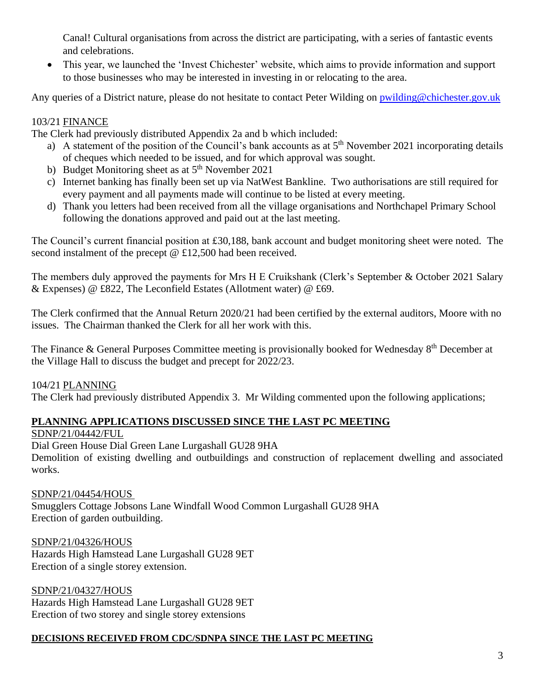Canal! Cultural organisations from across the district are participating, with a series of fantastic events and celebrations.

• This year, we launched the 'Invest Chichester' website, which aims to provide information and support to those businesses who may be interested in investing in or relocating to the area.

Any queries of a District nature, please do not hesitate to contact Peter Wilding on [pwilding@chichester.gov.uk](mailto:pwilding@chichester.gov.uk)

## 103/21 FINANCE

The Clerk had previously distributed Appendix 2a and b which included:

- a) A statement of the position of the Council's bank accounts as at  $5<sup>th</sup>$  November 2021 incorporating details of cheques which needed to be issued, and for which approval was sought.
- b) Budget Monitoring sheet as at 5<sup>th</sup> November 2021
- c) Internet banking has finally been set up via NatWest Bankline. Two authorisations are still required for every payment and all payments made will continue to be listed at every meeting.
- d) Thank you letters had been received from all the village organisations and Northchapel Primary School following the donations approved and paid out at the last meeting.

The Council's current financial position at £30,188, bank account and budget monitoring sheet were noted. The second instalment of the precept @ £12,500 had been received.

The members duly approved the payments for Mrs H E Cruikshank (Clerk's September & October 2021 Salary & Expenses) @ £822, The Leconfield Estates (Allotment water) @ £69.

The Clerk confirmed that the Annual Return 2020/21 had been certified by the external auditors, Moore with no issues. The Chairman thanked the Clerk for all her work with this.

The Finance & General Purposes Committee meeting is provisionally booked for Wednesday 8<sup>th</sup> December at the Village Hall to discuss the budget and precept for 2022/23.

104/21 PLANNING

The Clerk had previously distributed Appendix 3. Mr Wilding commented upon the following applications;

## **PLANNING APPLICATIONS DISCUSSED SINCE THE LAST PC MEETING**

SDNP/21/04442/FUL

Dial Green House Dial Green Lane Lurgashall GU28 9HA Demolition of existing dwelling and outbuildings and construction of replacement dwelling and associated works.

### SDNP/21/04454/HOUS

Smugglers Cottage Jobsons Lane Windfall Wood Common Lurgashall GU28 9HA Erection of garden outbuilding.

SDNP/21/04326/HOUS Hazards High Hamstead Lane Lurgashall GU28 9ET Erection of a single storey extension.

SDNP/21/04327/HOUS Hazards High Hamstead Lane Lurgashall GU28 9ET Erection of two storey and single storey extensions

### **DECISIONS RECEIVED FROM CDC/SDNPA SINCE THE LAST PC MEETING**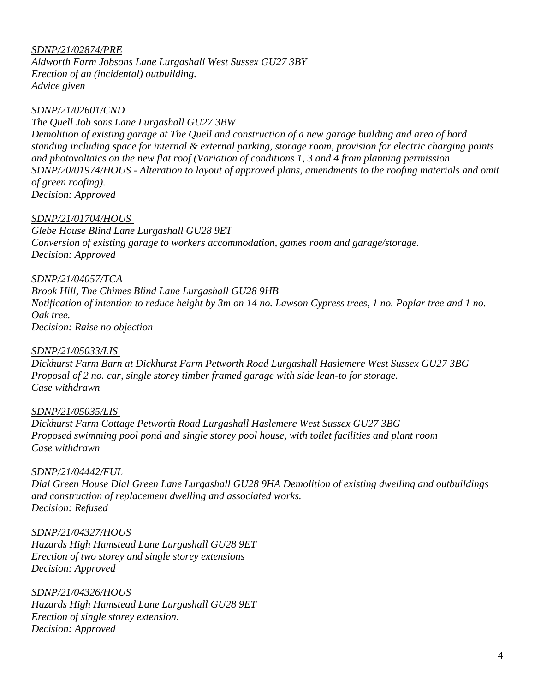### *SDNP/21/02874/PRE*

*Aldworth Farm Jobsons Lane Lurgashall West Sussex GU27 3BY Erection of an (incidental) outbuilding. Advice given*

### *SDNP/21/02601/CND*

*The Quell Job sons Lane Lurgashall GU27 3BW Demolition of existing garage at The Quell and construction of a new garage building and area of hard standing including space for internal & external parking, storage room, provision for electric charging points and photovoltaics on the new flat roof (Variation of conditions 1, 3 and 4 from planning permission SDNP/20/01974/HOUS - Alteration to layout of approved plans, amendments to the roofing materials and omit of green roofing). Decision: Approved*

### *SDNP/21/01704/HOUS*

*Glebe House Blind Lane Lurgashall GU28 9ET Conversion of existing garage to workers accommodation, games room and garage/storage. Decision: Approved*

*SDNP/21/04057/TCA Brook Hill, The Chimes Blind Lane Lurgashall GU28 9HB Notification of intention to reduce height by 3m on 14 no. Lawson Cypress trees, 1 no. Poplar tree and 1 no. Oak tree. Decision: Raise no objection*

#### *SDNP/21/05033/LIS*

*Dickhurst Farm Barn at Dickhurst Farm Petworth Road Lurgashall Haslemere West Sussex GU27 3BG Proposal of 2 no. car, single storey timber framed garage with side lean-to for storage. Case withdrawn*

#### *SDNP/21/05035/LIS*

*Dickhurst Farm Cottage Petworth Road Lurgashall Haslemere West Sussex GU27 3BG Proposed swimming pool pond and single storey pool house, with toilet facilities and plant room Case withdrawn*

#### *SDNP/21/04442/FUL*

*Dial Green House Dial Green Lane Lurgashall GU28 9HA Demolition of existing dwelling and outbuildings and construction of replacement dwelling and associated works. Decision: Refused*

*SDNP/21/04327/HOUS Hazards High Hamstead Lane Lurgashall GU28 9ET Erection of two storey and single storey extensions Decision: Approved*

*SDNP/21/04326/HOUS Hazards High Hamstead Lane Lurgashall GU28 9ET Erection of single storey extension. Decision: Approved*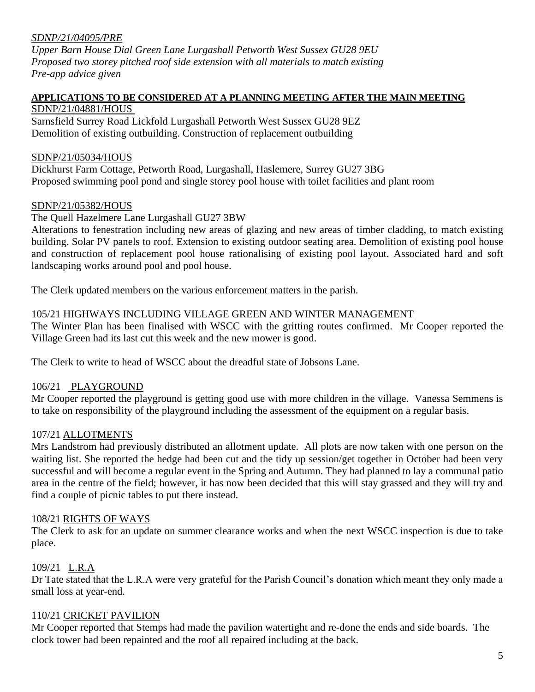### *SDNP/21/04095/PRE*

*Upper Barn House Dial Green Lane Lurgashall Petworth West Sussex GU28 9EU Proposed two storey pitched roof side extension with all materials to match existing Pre-app advice given*

#### **APPLICATIONS TO BE CONSIDERED AT A PLANNING MEETING AFTER THE MAIN MEETING** SDNP/21/04881/HOUS

Sarnsfield Surrey Road Lickfold Lurgashall Petworth West Sussex GU28 9EZ Demolition of existing outbuilding. Construction of replacement outbuilding

### SDNP/21/05034/HOUS

Dickhurst Farm Cottage, Petworth Road, Lurgashall, Haslemere, Surrey GU27 3BG Proposed swimming pool pond and single storey pool house with toilet facilities and plant room

### SDNP/21/05382/HOUS

### The Quell Hazelmere Lane Lurgashall GU27 3BW

Alterations to fenestration including new areas of glazing and new areas of timber cladding, to match existing building. Solar PV panels to roof. Extension to existing outdoor seating area. Demolition of existing pool house and construction of replacement pool house rationalising of existing pool layout. Associated hard and soft landscaping works around pool and pool house.

The Clerk updated members on the various enforcement matters in the parish.

### 105/21 HIGHWAYS INCLUDING VILLAGE GREEN AND WINTER MANAGEMENT

The Winter Plan has been finalised with WSCC with the gritting routes confirmed. Mr Cooper reported the Village Green had its last cut this week and the new mower is good.

The Clerk to write to head of WSCC about the dreadful state of Jobsons Lane.

## 106/21 PLAYGROUND

Mr Cooper reported the playground is getting good use with more children in the village. Vanessa Semmens is to take on responsibility of the playground including the assessment of the equipment on a regular basis.

### 107/21 ALLOTMENTS

Mrs Landstrom had previously distributed an allotment update. All plots are now taken with one person on the waiting list. She reported the hedge had been cut and the tidy up session/get together in October had been very successful and will become a regular event in the Spring and Autumn. They had planned to lay a communal patio area in the centre of the field; however, it has now been decided that this will stay grassed and they will try and find a couple of picnic tables to put there instead.

### 108/21 RIGHTS OF WAYS

The Clerk to ask for an update on summer clearance works and when the next WSCC inspection is due to take place.

## 109/21 L.R.A

Dr Tate stated that the L.R.A were very grateful for the Parish Council's donation which meant they only made a small loss at year-end.

### 110/21 CRICKET PAVILION

Mr Cooper reported that Stemps had made the pavilion watertight and re-done the ends and side boards. The clock tower had been repainted and the roof all repaired including at the back.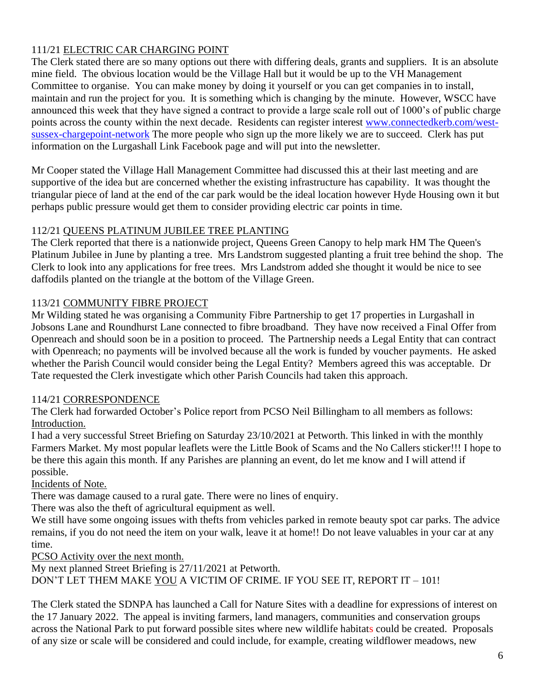## 111/21 ELECTRIC CAR CHARGING POINT

The Clerk stated there are so many options out there with differing deals, grants and suppliers. It is an absolute mine field. The obvious location would be the Village Hall but it would be up to the VH Management Committee to organise. You can make money by doing it yourself or you can get companies in to install, maintain and run the project for you. It is something which is changing by the minute. However, WSCC have announced this week that they have signed a contract to provide a large scale roll out of 1000's of public charge points across the county within the next decade. Residents can register interest [www.connectedkerb.com/west](http://www.connectedkerb.com/west-sussex-chargepoint-network)[sussex-chargepoint-network](http://www.connectedkerb.com/west-sussex-chargepoint-network) The more people who sign up the more likely we are to succeed. Clerk has put information on the Lurgashall Link Facebook page and will put into the newsletter.

Mr Cooper stated the Village Hall Management Committee had discussed this at their last meeting and are supportive of the idea but are concerned whether the existing infrastructure has capability. It was thought the triangular piece of land at the end of the car park would be the ideal location however Hyde Housing own it but perhaps public pressure would get them to consider providing electric car points in time.

## 112/21 QUEENS PLATINUM JUBILEE TREE PLANTING

The Clerk reported that there is a nationwide project, Queens Green Canopy to help mark HM The Queen's Platinum Jubilee in June by planting a tree. Mrs Landstrom suggested planting a fruit tree behind the shop. The Clerk to look into any applications for free trees. Mrs Landstrom added she thought it would be nice to see daffodils planted on the triangle at the bottom of the Village Green.

## 113/21 COMMUNITY FIBRE PROJECT

Mr Wilding stated he was organising a Community Fibre Partnership to get 17 properties in Lurgashall in Jobsons Lane and Roundhurst Lane connected to fibre broadband. They have now received a Final Offer from Openreach and should soon be in a position to proceed. The Partnership needs a Legal Entity that can contract with Openreach; no payments will be involved because all the work is funded by voucher payments. He asked whether the Parish Council would consider being the Legal Entity? Members agreed this was acceptable. Dr Tate requested the Clerk investigate which other Parish Councils had taken this approach.

## 114/21 CORRESPONDENCE

The Clerk had forwarded October's Police report from PCSO Neil Billingham to all members as follows: Introduction.

I had a very successful Street Briefing on Saturday 23/10/2021 at Petworth. This linked in with the monthly Farmers Market. My most popular leaflets were the Little Book of Scams and the No Callers sticker!!! I hope to be there this again this month. If any Parishes are planning an event, do let me know and I will attend if possible.

## Incidents of Note.

There was damage caused to a rural gate. There were no lines of enquiry.

There was also the theft of agricultural equipment as well.

We still have some ongoing issues with thefts from vehicles parked in remote beauty spot car parks. The advice remains, if you do not need the item on your walk, leave it at home!! Do not leave valuables in your car at any time.

PCSO Activity over the next month.

My next planned Street Briefing is 27/11/2021 at Petworth. DON'T LET THEM MAKE YOU A VICTIM OF CRIME. IF YOU SEE IT, REPORT IT – 101!

The Clerk stated the SDNPA has launched a Call for Nature Sites with a deadline for expressions of interest on the 17 January 2022. The appeal is inviting farmers, land managers, communities and conservation groups across the National Park to put forward possible sites where new wildlife habitats could be created. Proposals of any size or scale will be considered and could include, for example, creating wildflower meadows, new